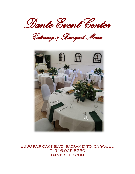*Dante Event Center* 

*Catering & Banquet Menu* 



2330 fair oaks blvd. sacramento, ca 95825 T: 916.925.8230 DANTECLUB.COM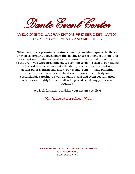*Dante Event Center* 

# Welcome to Sacramento's premier destination for special events and meetings

Whether you are planning a business meeting, wedding, special birthday, or even celebrating a loved one's life, having an assortment of options and true attention to detail can make any occasion from normal run of the mill to the event you were dreaming of. We commit to giving each of our clients the highest level of service with flexibility, assurance and attention to details before, during and after your event. From intimate planning session, on-site services, with different room choices, tasty and customizable catering, as well as audio visual and event coordination services, our highly trained staff with provide anything your event requires.

We look forward to making your dream a reality!

*The Dante Event Center Team*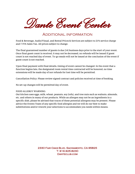*Dante Event Center* 

## Additional information

Food & Beverage, Audio/Visual, and Rental Prices & Services are subject to 21% service charge and 7.75% Sales Tax. All prices subject to change.

The final guaranteed number of guests is due (14) business days prior to the start of your event. Once final guest count is received, it may not be decreased, no refunds will be issued if guest count is not reached day of event. To-go meals will not be issued at the conclusion of the event if guest count is not reached.

Upon final payment with final details, timing of event cannot be changed. In the event that a function begins late, the designated room rental time contracted will be honored, no time extensions will be made day of nor refunds for lost time will be permitted.

Cancellation Policy: Please review signed contract and policies received at time of booking.

No set-up changes will be permitted day of event.

#### FOOD ALLERGY WARNING:

Out kitchen uses eggs, milk, wheat, peanuts, soy (tofu), and tree nuts such as walnuts, almonds, etc. and others in many of our products. While an allergen may not be an ingredients in a specific dish, please be advised that traces of these potential allergens may be present. Please advice the Events Team of any specific food allergies and we will do our best to make substitutions and/or rework your selections to accommodate you needs within means.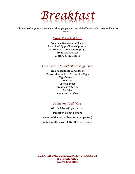*Breakfast*

Minimum of 30 guests. Menus are priced per person. Brunch buffets include coffee and hot tea service.

# *Basic Breakfast (\$16)*

Breakfast Sausage and Bacon Scrambled Eggs (Cheese Optional) Waffles with assorted toppings Breakfast Potatoes Muffins & Croissants

#### *Continental Breakfast Package (\$20)*

Breakfast Sausage and Bacon Denver Scramble or Scrambled Eggs Eggs Benedict Waffles French Toast Breakfast Potatoes Parfaits Scones & Danishes

## *Additional Add Ons:*

Mini Quiche (+\$2 per person) Pancakes (\$3 per person) Bagels with Cream Cheese (\$4 per person) English Muffins with Jelly (\$1.50 per person)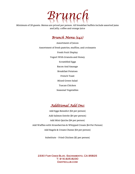

Minimum of 20 guests. Menus are priced per person. All breakfast buffets include assorted jams and jelly, coffee and orange juice

# *Brunch Menu (\$42)*

Assortment of Juices Assortment of fresh pastries, muffins, and croissants Fresh Fruit Display Yogurt With Granola and Honey Scrambled Eggs Bacon And Sausage Breakfast Potatoes French Toast Mixed Green Salad Tuscan Chicken Seasonal Vegetables



Add Eggs Benedict (\$4 per person) Add Salmon Entrée (\$4 per person) Add Mini Quiche (\$4 per person) Add Waffles with Strawberries & Whipped Cream (\$4 Per Person) Add Bagels & Cream Cheese (\$4 per person)

Substitute – Fried Chicken (\$2 per person)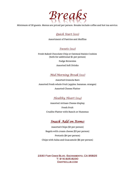

Minimum of 20 guests. Menus are priced per person. Breaks include coffee and hot tea service.

#### *Quick Start (\$10)*

Assortment of Pastries and Muffins

*Sweets (\$12)*

Fresh Baked Chocolate Chip or Oatmeal Raisin Cookies (both for additional \$1 per person)

Fudge Brownies

Assorted Soft Drinks

## *Mid-Morning Break (\$12)*

Assorted Granola Bars Assorted Fresh whole Fruit (apples, bananas, oranges) Assorted Cheese Platter

## *Healthy Heart (\$14)*

Assorted Artisan Cheese display Fresh Fruit Crudite Platter with Ranch or Hummus

# *Snack Add on Items:*

Assorted Chips (\$3 per person) Bagels with cream cheese (\$3 per person) Pretzels (\$4 per person) Chips with Salsa and Guacamole (\$6 per person)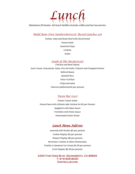

Minimum 20 Guests. All lunch buffets include coffee and hot tea service.

*Build Your Own Sandwiches(\$25)/ Boxed Lunches \$28*

Turkey, Ham and Roast Beef with sliced bread House Salad Assorted Chips Cookies Sodas

*South of The Border(\$26):*

Chicken and Beef Fajitas Sour Cream, Guacamole, Salsa, Pico De Gallo, Cilantro and Chopped Onions Refired Beans Spanish Rice Flour Tortillas Chips and salsa Churros (additional \$2 per person)

#### *Pasta Bar (\$20)*

Classic Caesar Salad Penne Pasta with Alfredo (add chicken for \$2 per Person) Spaghetti with Meat Sauce Tortellini with Pesto Sauce Homemade Garlic Bread

## *Lunch Menu Add-ons*

Assorted Soft Drinks (\$2 per person) Cookie Display (\$2 per person) Dessert Display (\$6 per person) Brownies, Cookies, & Mini Cheesecakes Vanilla or Spumoni Ice Cream (\$1.50 per person) Fruit Display (\$2.50 per person)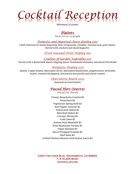

Minimum 25 Guests.

# *Platters*

*Each Serves 25 people*

#### *Domestic and imported cheese display \$150*

Chefs Selection of cheese featuring: Brie, Gorgonzola, Cheddar, Sonoma Jack, goat cheese. Served with crackers and sliced baguette.

#### *Fresh Seasonal Fruit Display \$60*

## *Crudites of Garden Vegetables \$75*

Served with a Buttermilk Ranch Dipping Sauce, Homemade Hummus, and sliced Pita Bread

#### *Antipasto Display \$175*

Salami, Coppa Salami, Marinated olives, Marinated Mushrooms, pepperoncini, artichoke hearts, roasted red peppers, bocconcini mozzarella and sliced crostini

#### *Charcuterie Board \$200*

Seasonal Accoutrements

## *Passed Hors Oeuvres*

*Priced Per Person*

Tomato Bruschetta Crostini \$3 Potstickers \$2 Vegetarian Spring Rolls \$2 Red Pepper Arancini \$2 Pulled pork sliders \$3 Mini Beef Sliders \$3 Coconut Shrimp \$3 Crab Cakes \$3 Korean Style Meatballs \$3 Wild Mushroom Tartlets \$3 Vegan Samosas \$4 Bacon Wrapped Scallops \$4 Beef Satay \$4 Grilled Chicken Skewers with Peanut Sauce \$4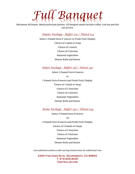# *Full Banquet*

Minimum 30 Guests. Meals priced per person. All banquet meals include coffee, iced tea and hot tea service.

#### *Naples Package - Buffet \$30 / Plated \$34*

Select 1 Passed Hors d' oeuvre or Fresh Fruit Display Choice of 1 salad or Soup Choice of 1 starch Choice of 2 Entrees Seasonal vegetables Dinner Rolls and Butter

#### *Milan Package - Buffet \$36 / Plated \$40*

Select 2 Passed Hors d'oeuvre or 1 Passed Hors d'oeuvre and Fresh Fruit Display Choice of 1 Salad or Soup Choice of 2 Starches Choice of 2 Entrees Seasonal Vegetables Dinner Rolls and Butter

*Rome Package - Buffet \$40 / Plated \$44* 

Select 3 Passed Hors d'oeuvre

Or

2 Passed Hors d'oeuvre and Fresh Fruit Display Choice of 2 Salads or Soups Choice of 2 Starches Choice of 3 Entrees Seasonal Vegetables Dinner Rolls and Butter

\*Can substitute entrée or add Carving Station Item for Additional Cost.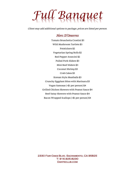# *Full Banquet*

Client may add additional options to package, prices are listed per person.

## *Hors D'Oeuvres*

Tomato Bruschetta Crostini \$3 Wild Mushroom Tartlets \$3 Potstickers \$2 Vegetarian Spring Rolls \$2 Red Pepper Arancini \$2 Pulled Pork Sliders \$3 Mini Beef Sliders \$3 Coconut Shrimp \$3 Crab Cakes \$3 Korean Style Meatballs \$3 Crunchy Eggplant Bites with Marinara \$3 Vegan Samosas (+\$1 per person) \$4 Grilled Chicken Skewers with Peanut Sauce \$4 Beef Satay Skewers with Peanut Sauce \$4 Bacon Wrapped Scallops (+\$1 per person) \$4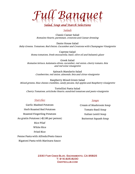

#### *Salads*

Classic Caesar Salad Romaine Hearts, parmesan, croutons and Caesar dressing

Dante House Salad Baby Greens, Tomatoes, Red Onion, Cucumber and Croutons with Champagne Vinaigrette

> Caprese Salad Roma tomatoes, fresh mozzarella, basil, olive oil and balsamic glaze

Greek Salad Romaine lettuce, kalamata olives, cucumber, red onion, cherry tomato, feta and red wine vinaigrette

> Spinach Mandarin Salad Cranberries, red onion, almonds, feta and citrus vinaigrette

Raspberry Mixed Green Salad Mixed greens, blue cheese crumbles, candy pecans, fuji apples and Raspberry vinaigrette

Tortellini Pasta Salad Cherry Tomatoes, artichoke Hearts, sundried tomatoes and pesto vinaigrette

#### *Starches*

Garlic Mashed Potatoes Herb Roasted Red Potatoes Roasted Fingerling Potatoes Au gratin Potatoes (+\$2.00 per person) Rice Pilaf White Rice Fried Rice Penne Pasta with Alfredo/Pesto Sauce

Rigatoni Pasta with Marinara Sauce

## *Soups*

Cream of Mushroom Soup Tomato Basil Soup Italian Lentil Soup Butternut Squash Soup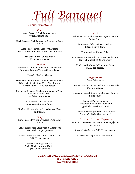*Full Banquet*

#### *Entrée Selections*

*Pork*  Slow Roasted Pork Loin with an Apple Mustard Sauce

Herb Roasted Pork Loin with Cranberry Demi Sauce

Herb Roasted Pork Loin with Tuscan Artichoke & Sundried Tomato Cream Sauce

> Pan Seared Pork Chops with a Honey Glaze Sauce

#### *Chicken*

Pan Seared Chicken with an Artichoke and Sundried Tomato Tuscan Cream Sauce

Teryaki Chicken Thighs

Herb Roasted Frenched Chicken Breast with a Whole Grain Mustard Herb Chardonnay Cream Sauce (+\$2.00 per person)

Parmesan Crusted Chicken topped with Fresh Mozzarella and served with Marinara Sauce

> Pan Seared Chicken with a Mushroom Marsala Sauce

Chicken Piccata with a Citrus Beurre Blanc and Capers

#### *Beef*

Slow Roasted Tri Tip with Red Wine Demi Sauce

Grilled New York Strip with a Mushroom Sauce (+\$2.00 per person)

Braised Short ribs with a Red Wine Gravy (+\$2.00 per person)

> Grilled Filet Mignon with a Garlic Herb compound Butter (+\$2.00 per person)

*Fish*  Baked Salmon with a Brown Sugar & Lemon Butter Sauce

> Pan Seared Salmon Piccata with a Citrus Beurre Blanc

Tilapia with a Mango Salsa

Pan Seared Halibut with a Tomato Relish and Beurre Blanc (+\$4.00 per person)

Blackened Mahi with Pineapple Salsa (+2.00 per person)

#### *Vegetarian*

Pasta Primavera

Cheese or Mushroom Ravioli with Housemade Marinara Sauce

Butternut Squash Ravioli with Citrus Beurre Blanc Sauce

> Eggplant Parmesan with Housemade Marinara Sauce and topped with Fresh Mozzarella

Vegetarian Wellington with Roasted Red Pepper Coulis (+ \$3 per person)

#### *Carving Station Upgrade*

Slow Roasted Herb Crusted Prime Rib (+\$4.00 per person)

Roasted Maple Ham (+\$3.00 per person)

Roasted Turkey (+\$4.00 per person)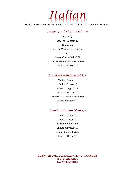

Minimum 30 Guests. All buffet meals include coffee, iced tea and hot tea service.

## *Lasagna/Baked Ziti Night \$18*

Salad (1) Seasonal Vegetables Choice of: Meat or Vegetarian Lasagna or Meat or Cheese Baked Ziti Dinner Rolls with Sweet Butter Choice of Dessert (1)

#### *Standard Italian Meal \$24*

Choice of Salad (1) Choice of Pasta (1) Seasonal Vegetables Choice of Protein (1) Dinners Roll with Sweet Butter Choice of Dessert (1)

## *Premium Italian Meal \$32*

Choice of Salad (1) Choice of Pasta (1) Seasonal Vegetable Choice of Protein (2) Dinner Rolls & Butter Choice of Dessert (1)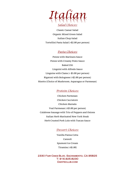

*Salad Choices:*

Classic Caesar Salad Organic Mixed Green Salad Italian Chop Salad Tortellini Pasta Salad (+\$2.00 per person)

## *Pasta Choices:*

Penne with Marinara Sauce Penne with Creamy Pesto Sauce Baked Ziti Linguini with Alfredo Sauce Linguine with Clams (+ \$5.00 per person) Rigatoni with Bolognese (+\$2.00 per person) Risotto (Choice of Mushroom, Asparagus or Parmesan)

#### *Protein Choices:*

Chicken Parmesan Chicken Cacciatore Chicken Marsala Veal Parmesan (+\$3.00 per person) Calabrese Sausage with Trio of Peppers and Onions Italian Herb Marinated New York Steak Herb Crusted Pork Loin with Tuscan Sauce

#### *Dessert Choices:*

Vanilla Panna Cotta Cannoli Spumoni Ice Cream Tiramisu (+\$1.00)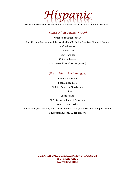

Minimum 30 Guests. All buffet meals include coffee, iced tea and hot tea service.

#### *Fajita Night Package: (\$26)*

Chicken and Beef Fajitas Sour Cream, Guacamole, Salsa Verde, Pico De Gallo, Cilantro, Chopped Onions Refired Beans Spanish Rice Flour Tortillas Chips and salsa Churros (additional \$2 per person)

## *Fiesta Night Package (\$34)*

Street Corn Salad Spanish Red Rice Refried Beans or Pino Beans Carnitas Carne Asada Al Pastor with Roasted Pineapple Flour or Corn Tortillas Sour Cream, Guacamole, Salsa Verde, Pico De Gallo, Cilantro and Chopped Onions Churros (additional \$2 per person)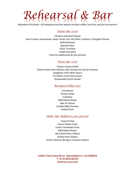*Rehearsal & Bar*

Minimum 20 Guests. All rehearsal and bar menus include coffee, iced tea, and hot tea service.

#### *Fajita Bar (\$26):*

Chicken and Beef Fajitas Sour Cream, Guacamole, Salsa Verde, Pico De Gallo, Cilantro, Chopped Onions Refired Beans Spanish Rice Flour Tortillas Chips and salsa Churros (additional \$2 per person)

#### *Pasta Bar (\$20)*

Classic Caesar Salad Penne Pasta with Alfredo (add chicken for \$2 per Person) Spaghetti with Meat Sauce Tortellini with Pesto Sauce Homemade Garlic Bread

#### *Backyard BBQ (\$26):*

Cornbread Potato Salad Coleslaw BBQ Baked Beans Mac & Cheese Grilled BBQ Chicken Pulled Pork

#### *Slider Bar Buffet(\$22 per person)*

French Fries Sweet Potato Fries Garlic Parmesan Fries BBQ Baked Beans Mini Beef Patty Sliders Pulled Pork Sliders Fried Chicken OR Spicy Chicken Sliders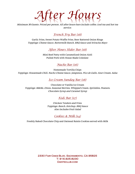# *After Hours*

Minimum 30 Guests. Priced per person. All after hours bars include coffee, iced tea and hot tea service.

## *French Fry Bar (\$8)*

Garlic Fries, Sweet Potato Waffle Fries, Beer Battered Onion Rings Toppings: Cheese Sauce, Buttermilk Ranch, BBQ Sauce and Sriracha Mayo

*After Hours Slider Bar (\$8)*

Mini Beef Patty with Caramelized Onion Aioli Pulled Pork with House Made Coleslaw

#### *Nacho Bar (\$6)*

Homemade Tortilla Chips Toppings: Housemade Chili, Nacho Cheese Sauce, Jalapenos, Pico de Gallo, Sour Cream, Salsa

*Ice Cream Sunday Bar (\$8)*

Chocolate or Vanilla Ice Cream Toppings: M&Ms, Oreos, Seasonal Berries, Whipped Cream, Sprinkles, Peanuts, Chocolate Syrup and Caramel Syrup

## *Kids Bar (\$7)*

Chicken Tenders and Fries Toppings: Ranch, Ketchup, BBQ Sauce Also Includes Fruit Salad

## *Cookies & Milk (\$4)*

Freshly Baked Chocolate Chip and Oatmeal Raisin Cookies served with Milk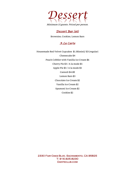

# *Dessert Bar (\$6)*

Brownies, Cookies, Lemon Bars

## *A La Carte*

Housemade Red Velvet Cupcakes \$1.50(mini)/ \$3 (regular) Cheesecake \$4 Peach Cobbler with Vanilla Ice Cream \$6 Cherry Pie \$3 / A la mode \$5 Apple Pie \$3 / A la mode \$5 Cannoli \$4.00 Lemon Bars \$3 Chocolate Ice Cream \$2 Vanilla Ice Cream \$2 Spumoni Ice Cream \$2 Cookies \$2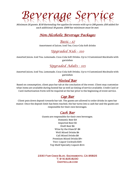# *Beverage Service*

Minimum 20 guests. \$150 Bartending Fee applies for events with up to 200 guests, \$50 added for each additional 50 guests. \$300 bar minimum must be met.

# *Non-Alcoholic Beverage Packages*

## *Basic - \$7*

Assortment of Juices, Iced Tea, Coca-Cola Soft drinks

# *Upgraded Kids - \$10*

Assorted Juices, Iced Tea, Lemonade, Coca-Cola Soft Drinks, Up to 3 Customized Mocktails with garnishes

# *Upgraded Adults - \$15*

Assorted Juices, Iced Tea, Lemonade, Coca-Cola Soft Drinks, Up to 4 Customized Mocktails with garnishes

# *Hosted Bar*

Based on consumption, client pays bar tab at the conclusion of the event. Client may customize what items are available during hosted bar as well as timing of service available. Credit Card or Card Authorization Form will be required at the bar prior to the beginning of event service.

## *Cap Bar*

Client puts down deposit towards bar tab. The guests are allowed to order drinks in open bar manor. Once the deposit limit has been reached, the bar turns into a cash bar and the guests are responsible for their own beverages.

# *Cash Bar*

Guests are responsible for their own beverages. Domestic Beer \$4 Imported Beer \$5 Draft Beer \$6 Wine by the Glass \$7-\$8 Well Mixed Drinks \$6 Call Mixed Drinks \$8 Premium Mixed Drinks \$9+ Two+ Liquor Cocktails \$10+ Top Shelf Specialty Liquors \$14+